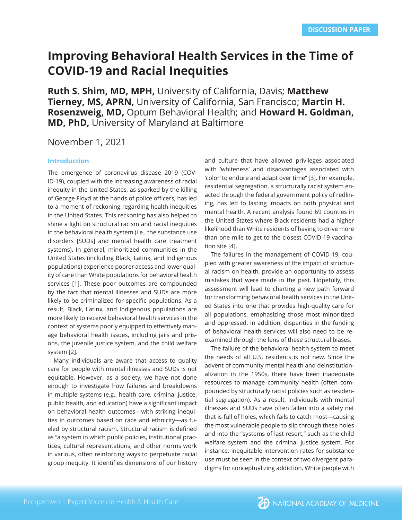# **Improving Behavioral Health Services in the Time of COVID-19 and Racial Inequities**

**Ruth S. Shim, MD, MPH,** University of California, Davis; **Matthew Tierney, MS, APRN,** University of California, San Francisco; **Martin H. Rosenzweig, MD,** Optum Behavioral Health; and **Howard H. Goldman, MD, PhD,** University of Maryland at Baltimore

November 1, 2021

#### **Introduction**

The emergence of coronavirus disease 2019 (COV-ID-19), coupled with the increasing awareness of racial inequity in the United States, as sparked by the killing of George Floyd at the hands of police officers, has led to a moment of reckoning regarding health inequities in the United States. This reckoning has also helped to shine a light on structural racism and racial inequities in the behavioral health system (i.e., the substance use disorders [SUDs] and mental health care treatment systems). In general, minoritized communities in the United States (including Black, Latinx, and Indigenous populations) experience poorer access and lower quality of care than White populations for behavioral health services [1]. These poor outcomes are compounded by the fact that mental illnesses and SUDs are more likely to be criminalized for specific populations. As a result, Black, Latinx, and Indigenous populations are more likely to receive behavioral health services in the context of systems poorly equipped to effectively manage behavioral health issues, including jails and prisons, the juvenile justice system, and the child welfare system [2].

Many individuals are aware that access to quality care for people with mental illnesses and SUDs is not equitable. However, as a society, we have not done enough to investigate how failures and breakdowns in multiple systems (e.g., health care, criminal justice, public health, and education) have a significant impact on behavioral health outcomes—with striking inequities in outcomes based on race and ethnicity—as fueled by structural racism. Structural racism is defined as "a system in which public policies, institutional practices, cultural representations, and other norms work in various, often reinforcing ways to perpetuate racial group inequity. It identifies dimensions of our history and culture that have allowed privileges associated with 'whiteness' and disadvantages associated with 'color' to endure and adapt over time" [3]. For example, residential segregation, a structurally racist system enacted through the federal government policy of redlining, has led to lasting impacts on both physical and mental health. A recent analysis found 69 counties in the United States where Black residents had a higher likelihood than White residents of having to drive more than one mile to get to the closest COVID-19 vaccination site [4].

The failures in the management of COVID-19, coupled with greater awareness of the impact of structural racism on health, provide an opportunity to assess mistakes that were made in the past. Hopefully, this assessment will lead to charting a new path forward for transforming behavioral health services in the United States into one that provides high-quality care for all populations, emphasizing those most minoritized and oppressed. In addition, disparities in the funding of behavioral health services will also need to be reexamined through the lens of these structural biases.

The failure of the behavioral health system to meet the needs of all U.S. residents is not new. Since the advent of community mental health and deinstitutionalization in the 1950s, there have been inadequate resources to manage community health (often compounded by structurally racist policies such as residential segregation). As a result, individuals with mental illnesses and SUDs have often fallen into a safety net that is full of holes, which fails to catch most—causing the most vulnerable people to slip through these holes and into the "systems of last resort," such as the child welfare system and the criminal justice system. For instance, inequitable intervention rates for substance use must be seen in the context of two divergent paradigms for conceptualizing addiction. White people with

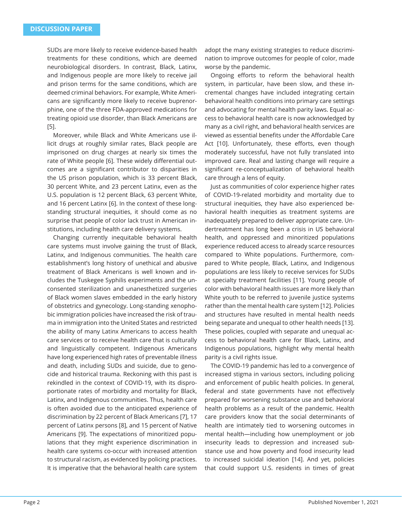SUDs are more likely to receive evidence-based health treatments for these conditions, which are deemed neurobiological disorders. In contrast, Black, Latinx, and Indigenous people are more likely to receive jail and prison terms for the same conditions, which are deemed criminal behaviors. For example, White Americans are significantly more likely to receive buprenorphine, one of the three FDA-approved medications for treating opioid use disorder, than Black Americans are [5].

Moreover, while Black and White Americans use illicit drugs at roughly similar rates, Black people are imprisoned on drug charges at nearly six times the rate of White people [6]. These widely differential outcomes are a significant contributor to disparities in the US prison population, which is 33 percent Black, 30 percent White, and 23 percent Latinx, even as the U.S. population is 12 percent Black, 63 percent White, and 16 percent Latinx [6]. In the context of these longstanding structural inequities, it should come as no surprise that people of color lack trust in American institutions, including health care delivery systems.

Changing currently inequitable behavioral health care systems must involve gaining the trust of Black, Latinx, and Indigenous communities. The health care establishment's long history of unethical and abusive treatment of Black Americans is well known and includes the Tuskegee Syphilis experiments and the unconsented sterilization and unanesthetized surgeries of Black women slaves embedded in the early history of obstetrics and gynecology. Long-standing xenophobic immigration policies have increased the risk of trauma in immigration into the United States and restricted the ability of many Latinx Americans to access health care services or to receive health care that is culturally and linguistically competent. Indigenous Americans have long experienced high rates of preventable illness and death, including SUDs and suicide, due to genocide and historical trauma. Reckoning with this past is rekindled in the context of COVID-19, with its disproportionate rates of morbidity and mortality for Black, Latinx, and Indigenous communities. Thus, health care is often avoided due to the anticipated experience of discrimination by 22 percent of Black Americans [7], 17 percent of Latinx persons [8], and 15 percent of Native Americans [9]. The expectations of minoritized populations that they might experience discrimination in health care systems co-occur with increased attention to structural racism, as evidenced by policing practices. It is imperative that the behavioral health care system

adopt the many existing strategies to reduce discrimination to improve outcomes for people of color, made worse by the pandemic.

Ongoing efforts to reform the behavioral health system, in particular, have been slow, and these incremental changes have included integrating certain behavioral health conditions into primary care settings and advocating for mental health parity laws. Equal access to behavioral health care is now acknowledged by many as a civil right, and behavioral health services are viewed as essential benefits under the Affordable Care Act [10]. Unfortunately, these efforts, even though moderately successful, have not fully translated into improved care. Real and lasting change will require a significant re-conceptualization of behavioral health care through a lens of equity.

Just as communities of color experience higher rates of COVID-19-related morbidity and mortality due to structural inequities, they have also experienced behavioral health inequities as treatment systems are inadequately prepared to deliver appropriate care. Undertreatment has long been a crisis in US behavioral health, and oppressed and minoritized populations experience reduced access to already scarce resources compared to White populations. Furthermore, compared to White people, Black, Latinx, and Indigenous populations are less likely to receive services for SUDs at specialty treatment facilities [11]. Young people of color with behavioral health issues are more likely than White youth to be referred to juvenile justice systems rather than the mental health care system [12]. Policies and structures have resulted in mental health needs being separate and unequal to other health needs [13]. These policies, coupled with separate and unequal access to behavioral health care for Black, Latinx, and Indigenous populations, highlight why mental health parity is a civil rights issue.

The COVID-19 pandemic has led to a convergence of increased stigma in various sectors, including policing and enforcement of public health policies. In general, federal and state governments have not effectively prepared for worsening substance use and behavioral health problems as a result of the pandemic. Health care providers know that the social determinants of health are intimately tied to worsening outcomes in mental health—including how unemployment or job insecurity leads to depression and increased substance use and how poverty and food insecurity lead to increased suicidal ideation [14]. And yet, policies that could support U.S. residents in times of great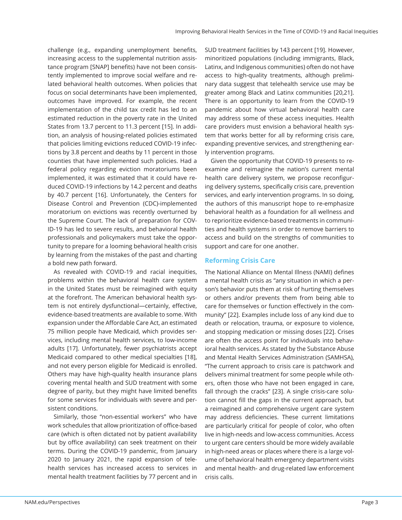challenge (e.g., expanding unemployment benefits, increasing access to the supplemental nutrition assistance program [SNAP] benefits) have not been consistently implemented to improve social welfare and related behavioral health outcomes. When policies that focus on social determinants have been implemented, outcomes have improved. For example, the recent implementation of the child tax credit has led to an estimated reduction in the poverty rate in the United States from 13.7 percent to 11.3 percent [15]. In addition, an analysis of housing-related policies estimated that policies limiting evictions reduced COVID-19 infections by 3.8 percent and deaths by 11 percent in those counties that have implemented such policies. Had a federal policy regarding eviction moratoriums been implemented, it was estimated that it could have reduced COVID-19 infections by 14.2 percent and deaths by 40.7 percent [16]. Unfortunately, the Centers for Disease Control and Prevention (CDC)-implemented moratorium on evictions was recently overturned by the Supreme Court. The lack of preparation for COV-ID-19 has led to severe results, and behavioral health professionals and policymakers must take the opportunity to prepare for a looming behavioral health crisis by learning from the mistakes of the past and charting a bold new path forward.

As revealed with COVID-19 and racial inequities, problems within the behavioral health care system in the United States must be reimagined with equity at the forefront. The American behavioral health system is not entirely dysfunctional—certainly, effective, evidence-based treatments are available to some. With expansion under the Affordable Care Act, an estimated 75 million people have Medicaid, which provides services, including mental health services, to low-income adults [17]. Unfortunately, fewer psychiatrists accept Medicaid compared to other medical specialties [18], and not every person eligible for Medicaid is enrolled. Others may have high-quality health insurance plans covering mental health and SUD treatment with some degree of parity, but they might have limited benefits for some services for individuals with severe and persistent conditions.

Similarly, those "non-essential workers" who have work schedules that allow prioritization of office-based care (which is often dictated not by patient availability but by office availability) can seek treatment on their terms. During the COVID-19 pandemic, from January 2020 to January 2021, the rapid expansion of telehealth services has increased access to services in mental health treatment facilities by 77 percent and in

SUD treatment facilities by 143 percent [19]. However, minoritized populations (including immigrants, Black, Latinx, and Indigenous communities) often do not have access to high-quality treatments, although preliminary data suggest that telehealth service use may be greater among Black and Latinx communities [20,21]. There is an opportunity to learn from the COVID-19 pandemic about how virtual behavioral health care may address some of these access inequities. Health care providers must envision a behavioral health system that works better for all by reforming crisis care, expanding preventive services, and strengthening early intervention programs.

Given the opportunity that COVID-19 presents to reexamine and reimagine the nation's current mental health care delivery system, we propose reconfiguring delivery systems, specifically crisis care, prevention services, and early intervention programs. In so doing, the authors of this manuscript hope to re-emphasize behavioral health as a foundation for all wellness and to reprioritize evidence-based treatments in communities and health systems in order to remove barriers to access and build on the strengths of communities to support and care for one another.

## **Reforming Crisis Care**

The National Alliance on Mental Illness (NAMI) defines a mental health crisis as "any situation in which a person's behavior puts them at risk of hurting themselves or others and/or prevents them from being able to care for themselves or function effectively in the community" [22]. Examples include loss of any kind due to death or relocation, trauma, or exposure to violence, and stopping medication or missing doses [22]. Crises are often the access point for individuals into behavioral health services. As stated by the Substance Abuse and Mental Health Services Administration (SAMHSA), "The current approach to crisis care is patchwork and delivers minimal treatment for some people while others, often those who have not been engaged in care, fall through the cracks" [23]. A single crisis-care solution cannot fill the gaps in the current approach, but a reimagined and comprehensive urgent care system may address deficiencies. These current limitations are particularly critical for people of color, who often live in high-needs and low-access communities. Access to urgent care centers should be more widely available in high-need areas or places where there is a large volume of behavioral health emergency department visits and mental health- and drug-related law enforcement crisis calls.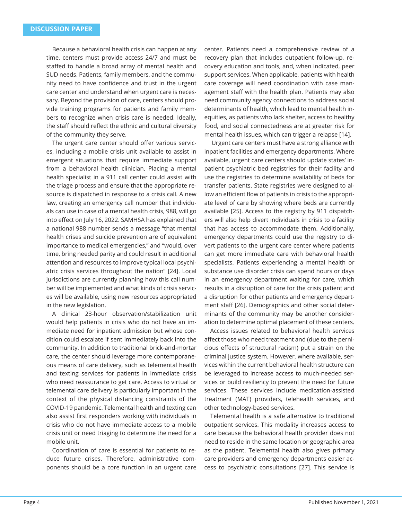Because a behavioral health crisis can happen at any time, centers must provide access 24/7 and must be staffed to handle a broad array of mental health and SUD needs. Patients, family members, and the community need to have confidence and trust in the urgent care center and understand when urgent care is necessary. Beyond the provision of care, centers should provide training programs for patients and family members to recognize when crisis care is needed. Ideally, the staff should reflect the ethnic and cultural diversity of the community they serve.

The urgent care center should offer various services, including a mobile crisis unit available to assist in emergent situations that require immediate support from a behavioral health clinician. Placing a mental health specialist in a 911 call center could assist with the triage process and ensure that the appropriate resource is dispatched in response to a crisis call. A new law, creating an emergency call number that individuals can use in case of a mental health crisis, 988, will go into effect on July 16, 2022. SAMHSA has explained that a national 988 number sends a message "that mental health crises and suicide prevention are of equivalent importance to medical emergencies," and "would, over time, bring needed parity and could result in additional attention and resources to improve typical local psychiatric crisis services throughout the nation" [24]. Local jurisdictions are currently planning how this call number will be implemented and what kinds of crisis services will be available, using new resources appropriated in the new legislation.

A clinical 23-hour observation/stabilization unit would help patients in crisis who do not have an immediate need for inpatient admission but whose condition could escalate if sent immediately back into the community. In addition to traditional brick-and-mortar care, the center should leverage more contemporaneous means of care delivery, such as telemental health and texting services for patients in immediate crisis who need reassurance to get care. Access to virtual or telemental care delivery is particularly important in the context of the physical distancing constraints of the COVID-19 pandemic. Telemental health and texting can also assist first responders working with individuals in crisis who do not have immediate access to a mobile crisis unit or need triaging to determine the need for a mobile unit.

Coordination of care is essential for patients to reduce future crises. Therefore, administrative components should be a core function in an urgent care center. Patients need a comprehensive review of a recovery plan that includes outpatient follow-up, recovery education and tools, and, when indicated, peer support services. When applicable, patients with health care coverage will need coordination with case management staff with the health plan. Patients may also need community agency connections to address social determinants of health, which lead to mental health inequities, as patients who lack shelter, access to healthy food, and social connectedness are at greater risk for mental health issues, which can trigger a relapse [14].

 Urgent care centers must have a strong alliance with inpatient facilities and emergency departments. Where available, urgent care centers should update states' inpatient psychiatric bed registries for their facility and use the registries to determine availability of beds for transfer patients. State registries were designed to allow an efficient flow of patients in crisis to the appropriate level of care by showing where beds are currently available [25]. Access to the registry by 911 dispatchers will also help divert individuals in crisis to a facility that has access to accommodate them. Additionally, emergency departments could use the registry to divert patients to the urgent care center where patients can get more immediate care with behavioral health specialists. Patients experiencing a mental health or substance use disorder crisis can spend hours or days in an emergency department waiting for care, which results in a disruption of care for the crisis patient and a disruption for other patients and emergency department staff [26]. Demographics and other social determinants of the community may be another consideration to determine optimal placement of these centers.

Access issues related to behavioral health services affect those who need treatment and (due to the pernicious effects of structural racism) put a strain on the criminal justice system. However, where available, services within the current behavioral health structure can be leveraged to increase access to much-needed services or build resiliency to prevent the need for future services. These services include medication-assisted treatment (MAT) providers, telehealth services, and other technology-based services.

Telemental health is a safe alternative to traditional outpatient services. This modality increases access to care because the behavioral health provider does not need to reside in the same location or geographic area as the patient. Telemental health also gives primary care providers and emergency departments easier access to psychiatric consultations [27]. This service is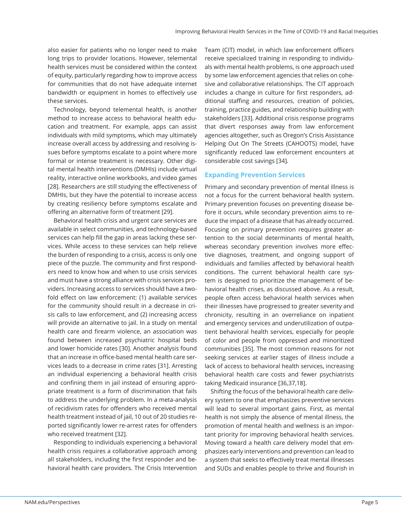also easier for patients who no longer need to make long trips to provider locations. However, telemental health services must be considered within the context of equity, particularly regarding how to improve access for communities that do not have adequate internet bandwidth or equipment in homes to effectively use these services.

Technology, beyond telemental health, is another method to increase access to behavioral health education and treatment. For example, apps can assist individuals with mild symptoms, which may ultimately increase overall access by addressing and resolving issues before symptoms escalate to a point where more formal or intense treatment is necessary. Other digital mental health interventions (DMHIs) include virtual reality, interactive online workbooks, and video games [28]. Researchers are still studying the effectiveness of DMHIs, but they have the potential to increase access by creating resiliency before symptoms escalate and offering an alternative form of treatment [29].

Behavioral health crisis and urgent care services are available in select communities, and technology-based services can help fill the gap in areas lacking these services. While access to these services can help relieve the burden of responding to a crisis, access is only one piece of the puzzle. The community and first responders need to know how and when to use crisis services and must have a strong alliance with crisis services providers. Increasing access to services should have a twofold effect on law enforcement: (1) available services for the community should result in a decrease in crisis calls to law enforcement, and (2) increasing access will provide an alternative to jail. In a study on mental health care and firearm violence, an association was found between increased psychiatric hospital beds and lower homicide rates [30]. Another analysis found that an increase in office-based mental health care services leads to a decrease in crime rates [31]. Arresting an individual experiencing a behavioral health crisis and confining them in jail instead of ensuring appropriate treatment is a form of discrimination that fails to address the underlying problem. In a meta-analysis of recidivism rates for offenders who received mental health treatment instead of jail, 10 out of 20 studies reported significantly lower re-arrest rates for offenders who received treatment [32].

Responding to individuals experiencing a behavioral health crisis requires a collaborative approach among all stakeholders, including the first responder and behavioral health care providers. The Crisis Intervention

Team (CIT) model, in which law enforcement officers receive specialized training in responding to individuals with mental health problems, is one approach used by some law enforcement agencies that relies on cohesive and collaborative relationships. The CIT approach includes a change in culture for first responders, additional staffing and resources, creation of policies, training, practice guides, and relationship building with stakeholders [33]. Additional crisis response programs that divert responses away from law enforcement agencies altogether, such as Oregon's Crisis Assistance Helping Out On The Streets (CAHOOTS) model, have significantly reduced law enforcement encounters at considerable cost savings [34].

#### **Expanding Prevention Services**

Primary and secondary prevention of mental illness is not a focus for the current behavioral health system. Primary prevention focuses on preventing disease before it occurs, while secondary prevention aims to reduce the impact of a disease that has already occurred. Focusing on primary prevention requires greater attention to the social determinants of mental health, whereas secondary prevention involves more effective diagnoses, treatment, and ongoing support of individuals and families affected by behavioral health conditions. The current behavioral health care system is designed to prioritize the management of behavioral health crises, as discussed above. As a result, people often access behavioral health services when their illnesses have progressed to greater severity and chronicity, resulting in an overreliance on inpatient and emergency services and underutilization of outpatient behavioral health services, especially for people of color and people from oppressed and minoritized communities [35]. The most common reasons for not seeking services at earlier stages of illness include a lack of access to behavioral health services, increasing behavioral health care costs and fewer psychiatrists taking Medicaid insurance [36,37,18].

Shifting the focus of the behavioral health care delivery system to one that emphasizes preventive services will lead to several important gains. First, as mental health is not simply the absence of mental illness, the promotion of mental health and wellness is an important priority for improving behavioral health services. Moving toward a health care delivery model that emphasizes early interventions and prevention can lead to a system that seeks to effectively treat mental illnesses and SUDs and enables people to thrive and flourish in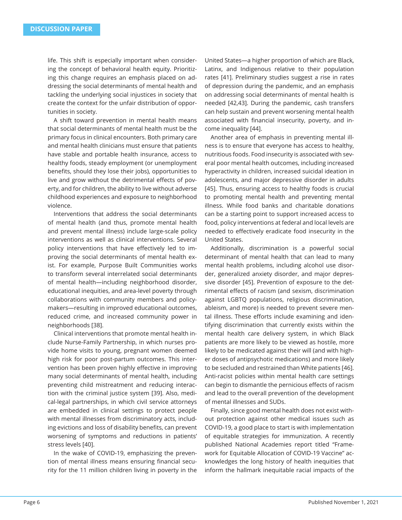life. This shift is especially important when considering the concept of behavioral health equity. Prioritizing this change requires an emphasis placed on addressing the social determinants of mental health and tackling the underlying social injustices in society that create the context for the unfair distribution of opportunities in society.

A shift toward prevention in mental health means that social determinants of mental health must be the primary focus in clinical encounters. Both primary care and mental health clinicians must ensure that patients have stable and portable health insurance, access to healthy foods, steady employment (or unemployment benefits, should they lose their jobs), opportunities to live and grow without the detrimental effects of poverty, and for children, the ability to live without adverse childhood experiences and exposure to neighborhood violence.

Interventions that address the social determinants of mental health (and thus, promote mental health and prevent mental illness) include large-scale policy interventions as well as clinical interventions. Several policy interventions that have effectively led to improving the social determinants of mental health exist. For example, Purpose Built Communities works to transform several interrelated social determinants of mental health—including neighborhood disorder, educational inequities, and area-level poverty through collaborations with community members and policymakers—resulting in improved educational outcomes, reduced crime, and increased community power in neighborhoods [38].

Clinical interventions that promote mental health include Nurse-Family Partnership, in which nurses provide home visits to young, pregnant women deemed high risk for poor post-partum outcomes. This intervention has been proven highly effective in improving many social determinants of mental health, including preventing child mistreatment and reducing interaction with the criminal justice system [39]. Also, medical-legal partnerships, in which civil service attorneys are embedded in clinical settings to protect people with mental illnesses from discriminatory acts, including evictions and loss of disability benefits, can prevent worsening of symptoms and reductions in patients' stress levels [40].

In the wake of COVID-19, emphasizing the prevention of mental illness means ensuring financial security for the 11 million children living in poverty in the United States—a higher proportion of which are Black, Latinx, and Indigenous relative to their population rates [41]. Preliminary studies suggest a rise in rates of depression during the pandemic, and an emphasis on addressing social determinants of mental health is needed [42,43]. During the pandemic, cash transfers can help sustain and prevent worsening mental health associated with financial insecurity, poverty, and income inequality [44].

Another area of emphasis in preventing mental illness is to ensure that everyone has access to healthy, nutritious foods. Food insecurity is associated with several poor mental health outcomes, including increased hyperactivity in children, increased suicidal ideation in adolescents, and major depressive disorder in adults [45]. Thus, ensuring access to healthy foods is crucial to promoting mental health and preventing mental illness. While food banks and charitable donations can be a starting point to support increased access to food, policy interventions at federal and local levels are needed to effectively eradicate food insecurity in the United States.

Additionally, discrimination is a powerful social determinant of mental health that can lead to many mental health problems, including alcohol use disorder, generalized anxiety disorder, and major depressive disorder [45]. Prevention of exposure to the detrimental effects of racism (and sexism, discrimination against LGBTQ populations, religious discrimination, ableism, and more) is needed to prevent severe mental illness. These efforts include examining and identifying discrimination that currently exists within the mental health care delivery system, in which Black patients are more likely to be viewed as hostile, more likely to be medicated against their will (and with higher doses of antipsychotic medications) and more likely to be secluded and restrained than White patients [46]. Anti-racist policies within mental health care settings can begin to dismantle the pernicious effects of racism and lead to the overall prevention of the development of mental illnesses and SUDs.

Finally, since good mental health does not exist without protection against other medical issues such as COVID-19, a good place to start is with implementation of equitable strategies for immunization. A recently published National Academies report titled "Framework for Equitable Allocation of COVID-19 Vaccine" acknowledges the long history of health inequities that inform the hallmark inequitable racial impacts of the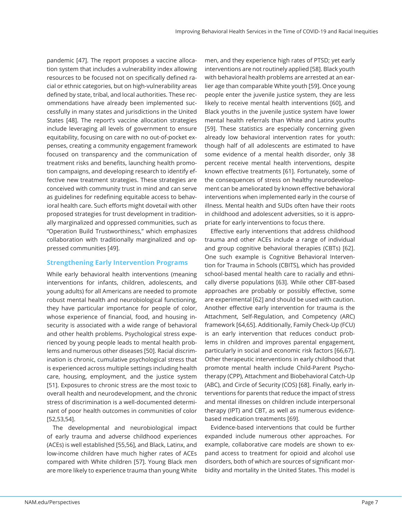pandemic [47]. The report proposes a vaccine allocation system that includes a vulnerability index allowing resources to be focused not on specifically defined racial or ethnic categories, but on high-vulnerability areas defined by state, tribal, and local authorities. These recommendations have already been implemented successfully in many states and jurisdictions in the United States [48]. The report's vaccine allocation strategies include leveraging all levels of government to ensure equitability, focusing on care with no out-of-pocket expenses, creating a community engagement framework focused on transparency and the communication of treatment risks and benefits, launching health promotion campaigns, and developing research to identify effective new treatment strategies. These strategies are conceived with community trust in mind and can serve as guidelines for redefining equitable access to behavioral health care. Such efforts might dovetail with other proposed strategies for trust development in traditionally marginalized and oppressed communities, such as "Operation Build Trustworthiness," which emphasizes collaboration with traditionally marginalized and oppressed communities [49].

## **Strengthening Early Intervention Programs**

While early behavioral health interventions (meaning interventions for infants, children, adolescents, and young adults) for all Americans are needed to promote robust mental health and neurobiological functioning, they have particular importance for people of color, whose experience of financial, food, and housing insecurity is associated with a wide range of behavioral and other health problems. Psychological stress experienced by young people leads to mental health problems and numerous other diseases [50]. Racial discrimination is chronic, cumulative psychological stress that is experienced across multiple settings including health care, housing, employment, and the justice system [51]. Exposures to chronic stress are the most toxic to overall health and neurodevelopment, and the chronic stress of discrimination is a well-documented determinant of poor health outcomes in communities of color [52,53,54].

The developmental and neurobiological impact of early trauma and adverse childhood experiences (ACEs) is well established [55,56], and Black, Latinx, and low-income children have much higher rates of ACEs compared with White children [57]. Young Black men are more likely to experience trauma than young White

men, and they experience high rates of PTSD; yet early interventions are not routinely applied [58]. Black youth with behavioral health problems are arrested at an earlier age than comparable White youth [59]. Once young people enter the juvenile justice system, they are less likely to receive mental health interventions [60], and Black youths in the juvenile justice system have lower mental health referrals than White and Latinx youths [59]. These statistics are especially concerning given already low behavioral intervention rates for youth: though half of all adolescents are estimated to have some evidence of a mental health disorder, only 38 percent receive mental health interventions, despite known effective treatments [61]. Fortunately, some of the consequences of stress on healthy neurodevelopment can be ameliorated by known effective behavioral interventions when implemented early in the course of illness. Mental health and SUDs often have their roots in childhood and adolescent adversities, so it is appropriate for early interventions to focus there.

Effective early interventions that address childhood trauma and other ACEs include a range of individual and group cognitive behavioral therapies (CBTs) [62]. One such example is Cognitive Behavioral Intervention for Trauma in Schools (CBITS), which has provided school-based mental health care to racially and ethnically diverse populations [63]. While other CBT-based approaches are probably or possibly effective, some are experimental [62] and should be used with caution. Another effective early intervention for trauma is the Attachment, Self-Regulation, and Competency (ARC) framework [64,65]. Additionally, Family Check-Up (FCU) is an early intervention that reduces conduct problems in children and improves parental engagement, particularly in social and economic risk factors [66,67]. Other therapeutic interventions in early childhood that promote mental health include Child-Parent Psychotherapy (CPP), Attachment and Biobehavioral Catch-Up (ABC), and Circle of Security (COS) [68]. Finally, early interventions for parents that reduce the impact of stress and mental illnesses on children include interpersonal therapy (IPT) and CBT, as well as numerous evidencebased medication treatments [69].

Evidence-based interventions that could be further expanded include numerous other approaches. For example, collaborative care models are shown to expand access to treatment for opioid and alcohol use disorders, both of which are sources of significant morbidity and mortality in the United States. This model is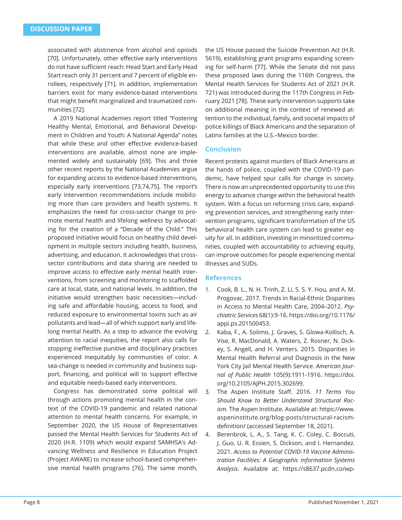associated with abstinence from alcohol and opioids [70]. Unfortunately, other effective early interventions do not have sufficient reach: Head Start and Early Head Start reach only 31 percent and 7 percent of eligible enrollees, respectively [71]. In addition, implementation barriers exist for many evidence-based interventions that might benefit marginalized and traumatized communities [72].

A 2019 National Academies report titled "Fostering Healthy Mental, Emotional, and Behavioral Development in Children and Youth: A National Agenda" notes that while these and other effective evidence-based interventions are available, almost none are implemented widely and sustainably [69]. This and three other recent reports by the National Academies argue for expanding access to evidence-based interventions, especially early interventions [73,74,75]. The report's early intervention recommendations include mobilizing more than care providers and health systems. It emphasizes the need for cross-sector change to promote mental health and lifelong wellness by advocating for the creation of a "Decade of the Child." This proposed initiative would focus on healthy child development in multiple sectors including health, business, advertising, and education. It acknowledges that crosssector contributions and data sharing are needed to improve access to effective early mental health interventions, from screening and monitoring to scaffolded care at local, state, and national levels. In addition, the initiative would strengthen basic necessities—including safe and affordable housing, access to food, and reduced exposure to environmental toxins such as air pollutants and lead—all of which support early and lifelong mental health. As a step to advance the evolving attention to racial inequities, the report also calls for stopping ineffective punitive and disciplinary practices experienced inequitably by communities of color. A sea-change is needed in community and business support, financing, and political will to support effective and equitable needs-based early interventions.

Congress has demonstrated some political will through actions promoting mental health in the context of the COVID-19 pandemic and related national attention to mental health concerns. For example, in September 2020, the US House of Representatives passed the Mental Health Services for Students Act of 2020 (H.R. 1109) which would expand SAMHSA's Advancing Wellness and Resilience in Education Project (Project AWARE) to increase school-based comprehensive mental health programs [76]. The same month,

the US House passed the Suicide Prevention Act (H.R. 5619), establishing grant programs expanding screening for self-harm [77]. While the Senate did not pass these proposed laws during the 116th Congress, the Mental Health Services for Students Act of 2021 (H.R. 721) was introduced during the 117th Congress in February 2021 [78]. These early intervention supports take on additional meaning in the context of renewed attention to the individual, family, and societal impacts of police killings of Black Americans and the separation of Latinx families at the U.S.–Mexico border.

#### **Conclusion**

Recent protests against murders of Black Americans at the hands of police, coupled with the COVID-19 pandemic, have helped spur calls for change in society. There is now an unprecedented opportunity to use this energy to advance change within the behavioral health system. With a focus on reforming crisis care, expanding prevention services, and strengthening early intervention programs, significant transformation of the US behavioral health care system can lead to greater equity for all. In addition, investing in minoritized communities, coupled with accountability to achieving equity, can improve outcomes for people experiencing mental illnesses and SUDs.

#### **References**

- 1. Cook, B. L., N. H. Trinh, Z. Li, S. S. Y. Hou, and A. M. Progovac. 2017. Trends in Racial-Ethnic Disparities in Access to Mental Health Care, 2004–2012. *Psychiatric Services* 68(1):9-16. https://doi.org/10.1176/ appi.ps.201500453.
- 2. Kaba, F., A. Solimo, J. Graves, S. Glowa-Kollisch, A. Vise, R. MacDonald, A. Waters, Z. Rosner, N. Dickey, S. Angell, and H. Venters. 2015. Disparities in Mental Health Referral and Diagnosis in the New York City Jail Mental Health Service. *American Journal of Public Health* 105(9):1911-1916. https://doi. org/10.2105/AJPH.2015.302699.
- 3. The Aspen Institute Staff . 2016. *11 Terms You Should Know to Better Understand Structural Racism.* The Aspen Institute. Available at: https://www. aspeninstitute.org/blog-posts/structural-racismdefinition/ (accessed September 18, 2021).
- 4. Berenbrok, L. A., S. Tang, K. C. Coley, C. Boccuti, J. Guo, U. R. Essien, S. Dickson, and I. Hernandez. 2021. *Access to Potential COVID-19 Vaccine Administration Facilities: A Geographic Information Systems Analysis.* Available at: https://s8637.pcdn.co/wp-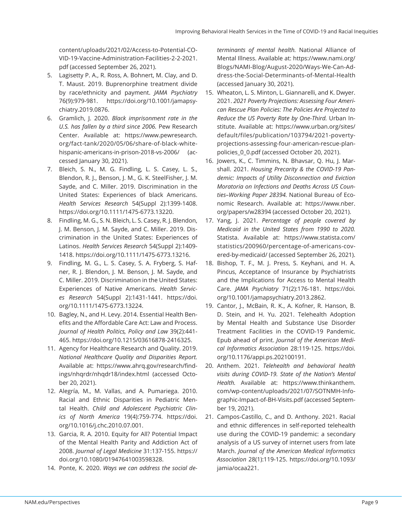content/uploads/2021/02/Access-to-Potential-CO-VID-19-Vaccine-Administration-Facilities-2-2-2021. pdf (accessed September 26, 2021).

- 5. Lagisetty P. A., R. Ross, A. Bohnert, M. Clay, and D. T. Maust. 2019. Buprenorphine treatment divide by race/ethnicity and payment. *JAMA Psychiatry*  76(9):979-981. https://doi.org/10.1001/jamapsychiatry.2019.0876.
- 6. Gramlich, J. 2020. *Black imprisonment rate in the U.S. has fallen by a third since 2006.* Pew Research Center. Available at: https://www.pewresearch. org/fact-tank/2020/05/06/share-of-black-whitehispanic-americans-in-prison-2018-vs-2006/ (accessed January 30, 2021).
- 7. Bleich, S. N., M. G. Findling, L. S. Casey, L. S., Blendon, R. J., Benson, J. M., G. K. SteelFisher, J. M. Sayde, and C. Miller. 2019. Discrimination in the United States: Experiences of black Americans. *Health Services Research* 54(Suppl 2):1399-1408. https://doi.org/10.1111/1475-6773.13220.
- 8. Findling, M. G., S. N. Bleich, L. S. Casey, R. J. Blendon, J. M. Benson, J. M. Sayde, and C. Miller. 2019. Discrimination in the United States: Experiences of Latinos. *Health Services Research* 54(Suppl 2):1409- 1418. https://doi.org/10.1111/1475-6773.13216.
- 9. Findling, M. G., L. S. Casey, S. A. Fryberg, S. Hafner, R. J. Blendon, J. M. Benson, J. M. Sayde, and C. Miller. 2019. Discrimination in the United States: Experiences of Native Americans. *Health Services Research* 54(Suppl 2):1431-1441. https://doi. org/10.1111/1475-6773.13224.
- 10. Bagley, N., and H. Levy. 2014. Essential Health Benefits and the Affordable Care Act: Law and Process. *Journal of Health Politics, Policy and Law* 39(2):441- 465. https://doi.org/10.1215/03616878-2416325.
- 11. Agency for Healthcare Research and Quality. 2019. *National Healthcare Quality and Disparities Report.*  Available at: https://www.ahrq.gov/research/findings/nhqrdr/nhqdr18/index.html (accessed October 20, 2021).
- 12. Alegría, M., M. Vallas, and A. Pumariega. 2010. Racial and Ethnic Disparities in Pediatric Mental Health. *Child and Adolescent Psychiatric Clinics of North America* 19(4):759-774. https://doi. org/10.1016/j.chc.2010.07.001.
- 13. Garcia, R. A. 2010. Equity for All? Potential Impact of the Mental Health Parity and Addiction Act of 2008. *Journal of Legal Medicine* 31:137-155. https:// doi.org/10.1080/01947641003598328.
- 14. Ponte, K. 2020. *Ways we can address the social de-*

*terminants of mental health.* National Alliance of Mental Illness. Available at: https://www.nami.org/ Blogs/NAMI-Blog/August-2020/Ways-We-Can-Address-the-Social-Determinants-of-Mental-Health (accessed January 30, 2021).

- 15. Wheaton, L. S. Minton, L. Giannarelli, and K. Dwyer. 2021. *2021 Poverty Projections: Assessing Four American Rescue Plan Policies: The Policies Are Projected to Reduce the US Poverty Rate by One-Third.* Urban Institute. Available at: https://www.urban.org/sites/ default/files/publication/103794/2021-povertyprojections-assessing-four-american-rescue-planpolicies\_0\_0.pdf (accessed October 20, 2021).
- 16. Jowers, K., C. Timmins, N. Bhavsar, Q. Hu, J. Marshall. 2021. *Housing Precarity & the COVID-19 Pandemic: Impacts of Utility Disconnection and Eviction Moratoria on Infections and Deaths Across US Counties–Working Paper 28394.* National Bureau of Economic Research. Available at: https://www.nber. org/papers/w28394 (accessed October 20, 2021).
- 17. Yang, J. 2021. *Percentage of people covered by Medicaid in the United States from 1990 to 2020.*  Statista. Available at: https://www.statista.com/ statistics/200960/percentage-of-americans-covered-by-medicaid/ (accessed September 26, 2021).
- 18. Bishop, T. F., M. J. Press, S. Keyhani, and H. A. Pincus, Acceptance of Insurance by Psychiatrists and the Implications for Access to Mental Health Care. *JAMA Psychiatry* 71(2):176-181. https://doi. org/10.1001/jamapsychiatry.2013.2862.
- 19. Cantor, J., McBain, R. K., A. Kofner, R. Hanson, B. D. Stein, and H. Yu. 2021. Telehealth Adoption by Mental Health and Substance Use Disorder Treatment Facilities in the COVID-19 Pandemic. Epub ahead of print. *Journal of the American Medical Informatics Association* 28:119-125. https://doi. org/10.1176/appi.ps.202100191.
- 20. Anthem. 2021. *Telehealth and behavioral health visits during COVID-19. State of the Nation's Mental Health.* Available at: https://www.thinkanthem. com/wp-content/uploads/2021/07/SOTNMH-Infographic-Impact-of-BH-Visits.pdf (accessed September 19, 2021).
- 21. Campos-Castillo, C., and D. Anthony. 2021. Racial and ethnic differences in self-reported telehealth use during the COVID-19 pandemic: a secondary analysis of a US survey of internet users from late March. *Journal of the American Medical Informatics Association* 28(1):119-125. https://doi.org/10.1093/ jamia/ocaa221.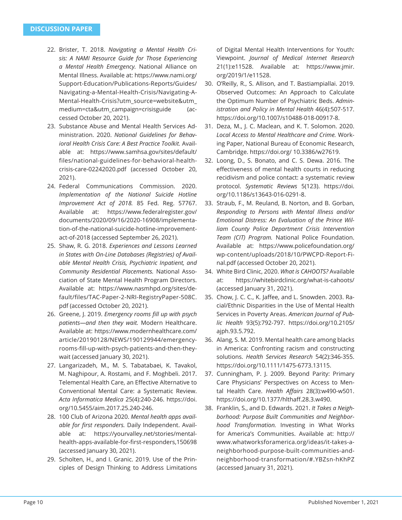- 22. Brister, T. 2018. *Navigating a Mental Health Crisis: A NAMI Resource Guide for Those Experiencing a Mental Health Emergency.* National Alliance on Mental Illness. Available at: https://www.nami.org/ Support-Education/Publications-Reports/Guides/ Navigating-a-Mental-Health-Crisis/Navigating-A-Mental-Health-Crisis?utm\_source=website&utm\_ medium=cta&utm\_campaign=crisisguide (accessed October 20, 2021).
- 23. Substance Abuse and Mental Health Services Administration. 2020. *National Guidelines for Behavioral Health Crisis Care: A Best Practice Toolkit.* Available at: https://www.samhsa.gov/sites/default/ files/national-guidelines-for-behavioral-healthcrisis-care-02242020.pdf (accessed October 20, 2021).
- 24. Federal Communications Commission. 2020. *Implementation of the National Suicide Hotline Improvement Act of 2018.* 85 Fed. Reg. 57767. Available at: https://www.federalregister.gov/ documents/2020/09/16/2020-16908/implementation-of-the-national-suicide-hotline-improvementact-of-2018 (accessed September 26, 2021).
- 25. Shaw, R. G. 2018. *Experiences and Lessons Learned in States with On-Line Databases (Registries) of Available Mental Health Crisis, Psychiatric Inpatient, and Community Residential Placements.* National Association of State Mental Health Program Directors. Available at: https://www.nasmhpd.org/sites/default/files/TAC-Paper-2-NRI-RegistryPaper-508C. pdf (accessed October 20, 2021).
- 26. Greene, J. 2019. *Emergency rooms fill up with psych patients—and then they wait.* Modern Healthcare. Available at: https://www.modernhealthcare.com/ article/20190128/NEWS/190129944/emergencyrooms-fill-up-with-psych-patients-and-then-theywait (accessed January 30, 2021).
- 27. Langarizadeh, M., M. S. Tabatabaei, K. Tavakol, M. Naghipour, A. Rostami, and F. Moghbeli. 2017. Telemental Health Care, an Effective Alternative to Conventional Mental Care: a Systematic Review. *Acta Informatica Medica* 25(4):240-246. https://doi. org/10.5455/aim.2017.25.240-246.
- 28. 100 Club of Arizona 2020. *Mental health apps available for first responders.* Daily Independent. Available at: https://yourvalley.net/stories/mentalhealth-apps-available-for-first-responders,150698 (accessed January 30, 2021).
- 29. Scholten, H., and I. Granic. 2019. Use of the Principles of Design Thinking to Address Limitations

of Digital Mental Health Interventions for Youth: Viewpoint. *Journal of Medical Internet Research*  21(1):e11528. Available at: https://www.jmir. org/2019/1/e11528.

- 30. O'Reilly, R., S. Allison, and T. Bastiampiallai. 2019. Observed Outcomes: An Approach to Calculate the Optimum Number of Psychiatric Beds. *Administration and Policy in Mental Health* 46(4):507-517. https://doi.org/10.1007/s10488-018-00917-8.
- 31. Deza, M., J. C. Maclean, and K. T. Solomon. 2020. *Local Access to Mental Healthcare and Crime.* Working Paper, National Bureau of Economic Research, Cambridge. https://doi.org/ 10.3386/w27619.
- 32. Loong, D., S. Bonato, and C. S. Dewa. 2016. The effectiveness of mental health courts in reducing recidivism and police contact: a systematic review protocol. *Systematic Reviews* 5(123). https://doi. org/10.1186/s13643-016-0291-8.
- 33. Straub, F., M. Reuland, B. Norton, and B. Gorban, *Responding to Persons with Mental Illness and/or Emotional Distress: An Evaluation of the Prince William County Police Department Crisis Intervention Team (CIT) Program.* National Police Foundation. Available at: https://www.policefoundation.org/ wp-content/uploads/2018/10/PWCPD-Report-Final.pdf (accessed October 20, 2021).
- 34. White Bird Clinic, 2020. *What is CAHOOTS?* Available at: https://whitebirdclinic.org/what-is-cahoots/ (accessed January 31, 2021).
- 35. Chow, J. C. C., K. Jaffee, and L. Snowden. 2003. Racial/Ethnic Disparities in the Use of Mental Health Services in Poverty Areas. *American Journal of Public Health* 93(5):792-797. https://doi.org/10.2105/ ajph.93.5.792.
- 36. Alang, S. M. 2019. Mental health care among blacks in America: Confronting racism and constructing solutions. *Health Services Research* 54(2):346-355. https://doi.org/10.1111/1475-6773.13115.
- 37. Cunningham, P. J. 2009. Beyond Parity: Primary Care Physicians' Perspectives on Access to Mental Health Care. *Health Affairs* 28(3):w490-w501. https://doi.org/10.1377/hlthaff.28.3.w490.
- 38. Franklin, S., and D. Edwards. 2021. *It Takes a Neighborhood: Purpose Built Communities and Neighborhood Transformation.* Investing in What Works for America's Communities. Available at: http:// www.whatworksforamerica.org/ideas/it-takes-aneighborhood-purpose-built-communities-andneighborhood-transformation/#.YBZsn-hKhPZ (accessed January 31, 2021).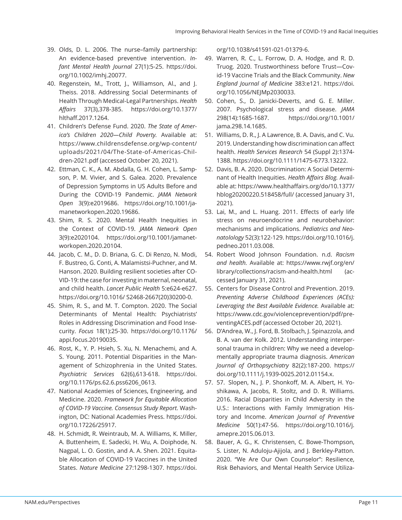- 39. Olds, D. L. 2006. The nurse–family partnership: An evidence-based preventive intervention. *Infant Mental Health Journal* 27(1):5-25. https://doi. org/10.1002/imhj.20077.
- 40. Regenstein, M., Trott, J., Williamson, Al., and J. Theiss. 2018. Addressing Social Determinants of Health Through Medical-Legal Partnerships. *Health Aff airs* 37(3),378-385. https://doi.org/10.1377/ hlthaff .2017.1264.
- 41. Children's Defense Fund. 2020. *The State of America's Children 2020—Child Poverty.* Available at: https://www.childrensdefense.org/wp-content/ uploads/2021/04/The-State-of-Americas-Children-2021.pdf (accessed October 20, 2021).
- 42. Ettman, C. K., A. M. Abdalla, G. H. Cohen, L. Sampson, P. M. Vivier, and S. Galea. 2020. Prevalence of Depression Symptoms in US Adults Before and During the COVID-19 Pandemic. *JAMA Network Open* 3(9):e2019686. https://doi.org/10.1001/jamanetworkopen.2020.19686.
- 43. Shim, R. S. 2020. Mental Health Inequities in the Context of COVID-19. *JAMA Network Open*  3(9):e2020104. https://doi.org/10.1001/jamanetworkopen.2020.20104.
- 44. Jacob, C. M., D. D. Briana, G. C. Di Renzo, N. Modi, F. Bustreo, G. Conti, A. Malamistsi-Puchner, and M. Hanson. 2020. Building resilient societies after CO-VID-19: the case for investing in maternal, neonatal, and child health. *Lancet Public Health* 5:e624-e627. https://doi.org/10.1016/ S2468-2667(20)30200-0.
- 45. Shim, R. S., and M. T. Compton. 2020. The Social Determinants of Mental Health: Psychiatrists' Roles in Addressing Discrimination and Food Insecurity. *Focus* 18(1):25-30. https://doi.org/10.1176/ appi.focus.20190035.
- 46. Rost, K., Y. P. Hsieh, S. Xu, N. Menachemi, and A. S. Young. 2011. Potential Disparities in the Management of Schizophrenia in the United States. *Psychiatric Services* 62(6),613-618. https://doi. org/10.1176/ps.62.6.pss6206\_0613.
- 47. National Academies of Sciences, Engineering, and Medicine. 2020. *Framework for Equitable Allocation of COVID-19 Vaccine. Consensus Study Report.* Washington, DC: National Academies Press. https://doi. org/10.17226/25917.
- 48. H. Schmidt, R. Weintraub, M. A. Williams, K. Miller, A. Buttenheim, E. Sadecki, H. Wu, A. Doiphode, N. Nagpal, L. O. Gostin, and A. A. Shen. 2021. Equitable Allocation of COVID-19 Vaccines in the United States. *Nature Medicine* 27:1298-1307. https://doi.

org/10.1038/s41591-021-01379-6.

- 49. Warren, R. C., L. Forrow, D. A. Hodge, and R. D. Truog. 2020. Trustworthiness before Trust—Covid-19 Vaccine Trials and the Black Community. *New England Journal of Medicine* 383:e121. https://doi. org/10.1056/NEJMp2030033.
- 50. Cohen, S., D. Janicki-Deverts, and G. E. Miller. 2007. Psychological stress and disease. *JAMA*  298(14):1685-1687. https://doi.org/10.1001/ jama.298.14.1685.
- 51. Williams, D. R., J. A Lawrence, B. A. Davis, and C. Vu. 2019. Understanding how discrimination can affect health. *Health Services Research* 54 (Suppl 2):1374- 1388. https://doi.org/10.1111/1475-6773.13222.
- 52. Davis, B. A. 2020. Discrimination: A Social Determinant of Health Inequities. *Health Affairs Blog.* Available at: https://www.healthaffairs.org/do/10.1377/ hblog20200220.518458/full/ (accessed January 31, 2021).
- 53. Lai, M., and L. Huang. 2011. Effects of early life stress on neuroendocrine and neurobehavior: mechanisms and implications. *Pediatrics and Neonatolology* 52(3):122-129. https://doi.org/10.1016/j. pedneo.2011.03.008.
- 54. Robert Wood Johnson Foundation. n.d. *Racism and health.* Available at: https://www.rwjf.org/en/ library/collections/racism-and-health.html (accessed January 31, 2021).
- 55. Centers for Disease Control and Prevention. 2019. *Preventing Adverse Childhood Experiences (ACEs): Leveraging the Best Available Evidence.* Available at: https://www.cdc.gov/violenceprevention/pdf/preventingACES.pdf (accessed October 20, 2021).
- 56. D'Andrea, W., J. Ford, B. Stolbach, J. Spinazzola, and B. A. van der Kolk. 2012. Understanding interpersonal trauma in children: Why we need a developmentally appropriate trauma diagnosis. *American Journal of Orthopsychiatry* 82(2):187-200. https:// doi.org/10.1111/j.1939-0025.2012.01154.x.
- 57. 57. Slopen, N., J. P. Shonkoff, M. A. Albert, H. Yoshikawa, A. Jacobs, R. Stoltz, and D. R. Williams. 2016. Racial Disparities in Child Adversity in the U.S.: Interactions with Family Immigration History and Income. *American Journal of Preventive Medicine* 50(1):47-56. https://doi.org/10.1016/j. amepre.2015.06.013.
- 58. Bauer, A. G., K. Christensen, C. Bowe-Thompson, S. Lister, N. Aduloju-Ajijola, and J. Berkley-Patton. 2020. "We Are Our Own Counselor": Resilience, Risk Behaviors, and Mental Health Service Utiliza-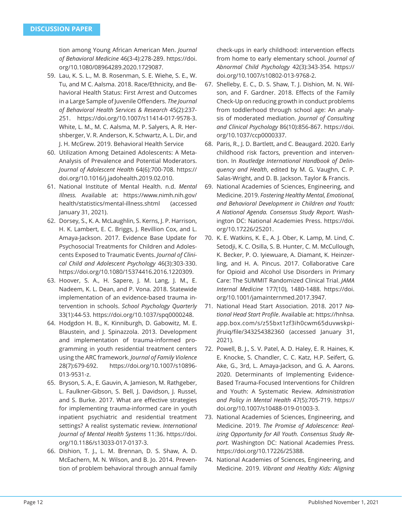tion among Young African American Men. *Journal of Behavioral Medicine* 46(3-4):278-289. https://doi. org/10.1080/08964289.2020.1729087.

- 59. Lau, K. S. L., M. B. Rosenman, S. E. Wiehe, S. E., W. Tu, and M C. Aalsma. 2018. Race/Ethnicity, and Behavioral Health Status: First Arrest and Outcomes in a Large Sample of Juvenile Offenders. The Journal *of Behavioral Health Services & Research* 45(2):237- 251. https://doi.org/10.1007/s11414-017-9578-3. White, L. M., M. C. Aalsma, M. P. Salyers, A. R. Hershberger, V. R. Anderson, K. Schwartz, A. L. Dir, and J. H. McGrew. 2019. Behavioral Health Service
- 60. Utilization Among Detained Adolescents: A Meta-Analysis of Prevalence and Potential Moderators. *Journal of Adolescent Health* 64(6):700-708. https:// doi.org/10.1016/j.jadohealth.2019.02.010.
- 61. National Institute of Mental Health. n.d. *Mental Illness.* Available at: https://www.nimh.nih.gov/ health/statistics/mental-illness.shtml (accessed January 31, 2021).
- 62. Dorsey, S., K. A. McLaughlin, S. Kerns, J. P. Harrison, H. K. Lambert, E. C. Briggs, J. Revillion Cox, and L. Amaya-Jackson. 2017. Evidence Base Update for Psychosocial Treatments for Children and Adolescents Exposed to Traumatic Events. *Journal of Clinical Child and Adolescent Psychology* 46(3):303-330. https://doi.org/10.1080/15374416.2016.1220309.
- 63. Hoover, S. A., H. Sapere, J. M. Lang, J. M., E. Nadeem, K. L. Dean, and P. Vona. 2018. Statewide implementation of an evidence-based trauma intervention in schools. *School Psychology Quarterly*  33(1):44-53. https://doi.org/10.1037/spq0000248.
- 64. Hodgdon H. B., K. Kinniburgh, D. Gabowitz, M. E. Blaustein, and J. Spinazzola. 2013. Development and implementation of trauma-informed programming in youth residential treatment centers using the ARC framework. *Journal of Family Violence* 28(7):679-692. https://doi.org/10.1007/s10896- 013-9531-z.
- 65. Bryson, S. A., E. Gauvin, A. Jamieson, M. Rathgeber, L. Faulkner-Gibson, S. Bell, J. Davidson, J. Russel, and S. Burke. 2017. What are effective strategies for implementing trauma-informed care in youth inpatient psychiatric and residential treatment settings? A realist systematic review. *International Journal of Mental Health Systems* 11:36. https://doi. org/10.1186/s13033-017-0137-3.
- 66. Dishion, T. J., L. M. Brennan, D. S. Shaw, A. D. McEachern, M. N. Wilson, and B. Jo. 2014. Prevention of problem behavioral through annual family

check-ups in early childhood: intervention effects from home to early elementary school. *Journal of Abnormal Child Psychology* 42(3):343-354. https:// doi.org/10.1007/s10802-013-9768-2.

- 67. Shelleby, E. C., D. S. Shaw, T. J. Dishion, M. N. Wilson, and F. Gardner. 2018. Effects of the Family Check-Up on reducing growth in conduct problems from toddlerhood through school age: An analysis of moderated mediation. *Journal of Consulting and Clinical Psychology* 86(10):856-867. https://doi. org/10.1037/ccp0000337.
- 68. Paris, R., J. D. Bartlett, and C. Beaugard. 2020. Early childhood risk factors, prevention and intervention. In *Routledge International Handbook of Delinquency and Health*, edited by M. G. Vaughn, C. P. Salas-Wright, and D. B. Jackson. Taylor & Francis.
- 69. National Academies of Sciences, Engineering, and Medicine. 2019. *Fostering Healthy Mental, Emotional, and Behavioral Development in Children and Youth: A National Agenda. Consensus Study Report.* Washington DC: National Academies Press. https://doi. org/10.17226/25201.
- 70. K. E. Watkins, K. E., A. J. Ober, K. Lamp, M. Lind, C. Setodji, K. C. Osilla, S. B. Hunter, C. M. McCullough, K. Becker, P. O. Iyiewuare, A. Diamant, K. Heinzerling, and H. A. Pincus. 2017. Collaborative Care for Opioid and Alcohol Use Disorders in Primary Care: The SUMMIT Randomized Clinical Trial. *JAMA Internal Medicine* 177(10), 1480-1488. https://doi. org/10.1001/jamainternmed.2017.3947.
- 71. National Head Start Association. 2018. 2017 *National Head Start Profi le*. Available at: https://hnhsa. app.box.com/s/z55bxt1zf3ih0cwm65duvwskpijfruiq/file/343254382360 (accessed January 31, 2021).
- 72. Powell, B. J., S. V. Patel, A. D. Haley, E. R. Haines, K. E. Knocke, S. Chandler, C. C. Katz, H.P. Seifert, G. Ake, G., 3rd, L. Amaya-Jackson, and G. A. Aarons. 2020. Determinants of Implementing Evidence-Based Trauma-Focused Interventions for Children and Youth: A Systematic Review. *Administration and Policy in Mental Health* 47(5):705-719. https:// doi.org/10.1007/s10488-019-01003-3.
- 73. National Academies of Sciences, Engineering, and Medicine. 2019. *The Promise of Adolescence: Realizing Opportunity for All Youth. Consensus Study Report.* Washington DC: National Academies Press. https://doi.org/10.17226/25388.
- 74. National Academies of Sciences, Engineering, and Medicine. 2019. *Vibrant and Healthy Kids: Aligning*